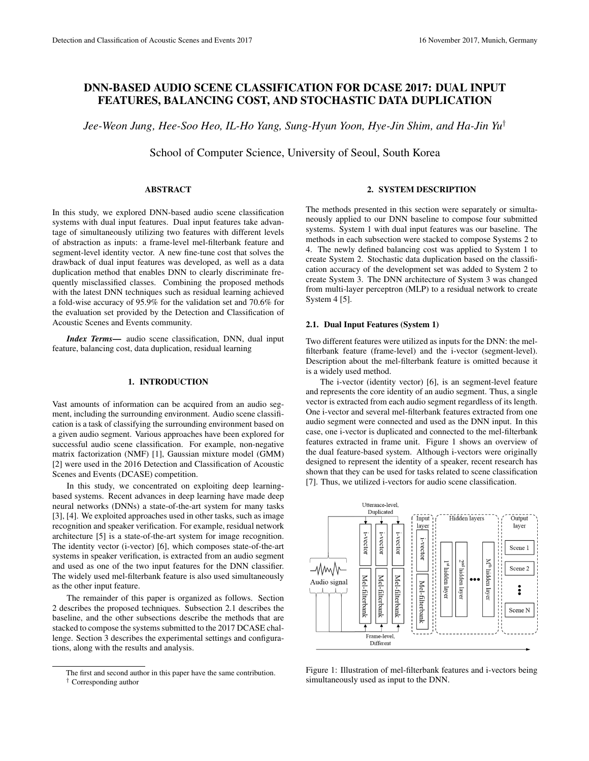# DNN-BASED AUDIO SCENE CLASSIFICATION FOR DCASE 2017: DUAL INPUT FEATURES, BALANCING COST, AND STOCHASTIC DATA DUPLICATION

*Jee-Weon Jung, Hee-Soo Heo, IL-Ho Yang, Sung-Hyun Yoon, Hye-Jin Shim, and Ha-Jin Yu*†

School of Computer Science, University of Seoul, South Korea

# ABSTRACT

In this study, we explored DNN-based audio scene classification systems with dual input features. Dual input features take advantage of simultaneously utilizing two features with different levels of abstraction as inputs: a frame-level mel-filterbank feature and segment-level identity vector. A new fine-tune cost that solves the drawback of dual input features was developed, as well as a data duplication method that enables DNN to clearly discriminate frequently misclassified classes. Combining the proposed methods with the latest DNN techniques such as residual learning achieved a fold-wise accuracy of 95.9% for the validation set and 70.6% for the evaluation set provided by the Detection and Classification of Acoustic Scenes and Events community.

*Index Terms*— audio scene classification, DNN, dual input feature, balancing cost, data duplication, residual learning

# 1. INTRODUCTION

Vast amounts of information can be acquired from an audio segment, including the surrounding environment. Audio scene classification is a task of classifying the surrounding environment based on a given audio segment. Various approaches have been explored for successful audio scene classification. For example, non-negative matrix factorization (NMF) [1], Gaussian mixture model (GMM) [2] were used in the 2016 Detection and Classification of Acoustic Scenes and Events (DCASE) competition.

In this study, we concentrated on exploiting deep learningbased systems. Recent advances in deep learning have made deep neural networks (DNNs) a state-of-the-art system for many tasks [3], [4]. We exploited approaches used in other tasks, such as image recognition and speaker verification. For example, residual network architecture [5] is a state-of-the-art system for image recognition. The identity vector (i-vector) [6], which composes state-of-the-art systems in speaker verification, is extracted from an audio segment and used as one of the two input features for the DNN classifier. The widely used mel-filterbank feature is also used simultaneously as the other input feature.

The remainder of this paper is organized as follows. Section 2 describes the proposed techniques. Subsection 2.1 describes the baseline, and the other subsections describe the methods that are stacked to compose the systems submitted to the 2017 DCASE challenge. Section 3 describes the experimental settings and configurations, along with the results and analysis.

# 2. SYSTEM DESCRIPTION

The methods presented in this section were separately or simultaneously applied to our DNN baseline to compose four submitted systems. System 1 with dual input features was our baseline. The methods in each subsection were stacked to compose Systems 2 to 4. The newly defined balancing cost was applied to System 1 to create System 2. Stochastic data duplication based on the classification accuracy of the development set was added to System 2 to create System 3. The DNN architecture of System 3 was changed from multi-layer perceptron (MLP) to a residual network to create System 4 [5].

### 2.1. Dual Input Features (System 1)

Two different features were utilized as inputs for the DNN: the melfilterbank feature (frame-level) and the i-vector (segment-level). Description about the mel-filterbank feature is omitted because it is a widely used method.

The i-vector (identity vector) [6], is an segment-level feature and represents the core identity of an audio segment. Thus, a single vector is extracted from each audio segment regardless of its length. One i-vector and several mel-filterbank features extracted from one audio segment were connected and used as the DNN input. In this case, one i-vector is duplicated and connected to the mel-filterbank features extracted in frame unit. Figure 1 shows an overview of the dual feature-based system. Although i-vectors were originally designed to represent the identity of a speaker, recent research has shown that they can be used for tasks related to scene classification [7]. Thus, we utilized i-vectors for audio scene classification.



Figure 1: Illustration of mel-filterbank features and i-vectors being simultaneously used as input to the DNN.

The first and second author in this paper have the same contribution. † Corresponding author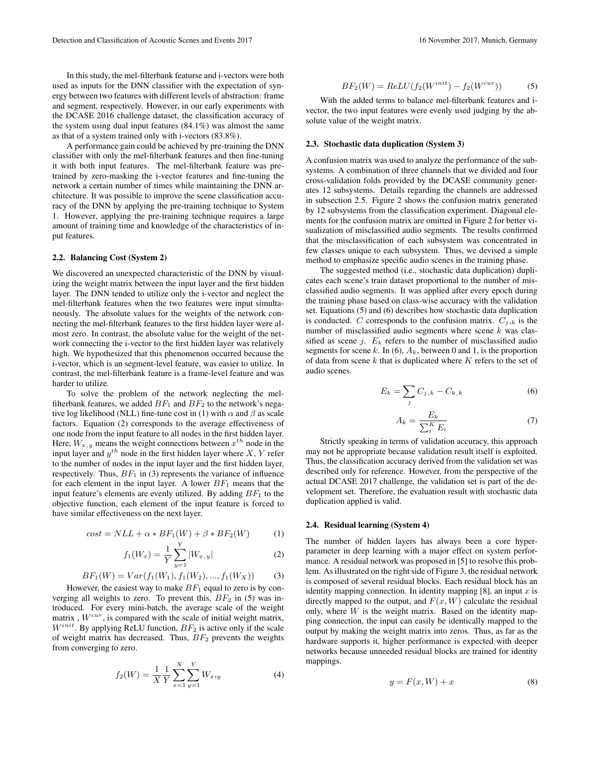In this study, the mel-filterbank featurse and i-vectors were both used as inputs for the DNN classifier with the expectation of synergy between two features with different levels of abstraction: frame and segment, respectively. However, in our early experiments with

the DCASE 2016 challenge dataset, the classification accuracy of the system using dual input features (84.1%) was almost the same as that of a system trained only with i-vectors (83.8%).

A performance gain could be achieved by pre-training the DNN classifier with only the mel-filterbank features and then fine-tuning it with both input features. The mel-filterbank feature was pretrained by zero-masking the i-vector features and fine-tuning the network a certain number of times while maintaining the DNN architecture. It was possible to improve the scene classification accuracy of the DNN by applying the pre-training technique to System 1. However, applying the pre-training technique requires a large amount of training time and knowledge of the characteristics of input features.

# 2.2. Balancing Cost (System 2)

We discovered an unexpected characteristic of the DNN by visualizing the weight matrix between the input layer and the first hidden layer. The DNN tended to utilize only the i-vector and neglect the mel-filterbank features when the two features were input simultaneously. The absolute values for the weights of the network connecting the mel-filterbank features to the first hidden layer were almost zero. In contrast, the absolute value for the weight of the network connecting the i-vector to the first hidden layer was relatively high. We hypothesized that this phenomenon occurred because the i-vector, which is an segment-level feature, was easier to utilize. In contrast, the mel-filterbank feature is a frame-level feature and was harder to utilize.

To solve the problem of the network neglecting the melfilterbank features, we added  $BF_1$  and  $BF_2$  to the network's negative log likelihood (NLL) fine-tune cost in (1) with  $\alpha$  and  $\beta$  as scale factors. Equation (2) corresponds to the average effectiveness of one node from the input feature to all nodes in the first hidden layer. Here,  $W_{x,y}$  means the weight connections between  $x^{th}$  node in the input layer and  $y^{th}$  node in the first hidden layer where X, Y refer to the number of nodes in the input layer and the first hidden layer, respectively. Thus,  $BF_1$  in (3) represents the variance of influence for each element in the input layer. A lower  $BF_1$  means that the input feature's elements are evenly utilized. By adding  $BF_1$  to the objective function, each element of the input feature is forced to have similar effectiveness on the next layer.

$$
cost = NLL + \alpha * BF_1(W) + \beta * BF_2(W) \tag{1}
$$

$$
f_1(W_x) = \frac{1}{Y} \sum_{y=1}^{Y} |W_{x,y}|
$$
 (2)

$$
BF_1(W) = Var(f_1(W_1), f_1(W_2), ..., f_1(W_X))
$$
 (3)

However, the easiest way to make  $BF_1$  equal to zero is by converging all weights to zero. To prevent this,  $BF_2$  in (5) was introduced. For every mini-batch, the average scale of the weight matrix,  $W^{cur}$ , is compared with the scale of initial weight matrix,  $W^{init}$ . By applying ReLU function,  $BF_2$  is active only if the scale of weight matrix has decreased. Thus,  $BF<sub>2</sub>$  prevents the weights from converging to zero.

$$
f_2(W) = \frac{1}{X} \frac{1}{Y} \sum_{x=1}^{X} \sum_{y=1}^{Y} W_{x,y}
$$
 (4)

$$
BF_2(W) = ReLU(f_2(W^{init}) - f_2(W^{cur}))
$$
 (5)

With the added terms to balance mel-filterbank features and ivector, the two input features were evenly used judging by the absolute value of the weight matrix.

# 2.3. Stochastic data duplication (System 3)

A confusion matrix was used to analyze the performance of the subsystems. A combination of three channels that we divided and four cross-validation folds provided by the DCASE community generates 12 subsystems. Details regarding the channels are addressed in subsection 2.5. Figure 2 shows the confusion matrix generated by 12 subsystems from the classification experiment. Diagonal elements for the confusion matrix are omitted in Figure 2 for better visualization of misclassified audio segments. The results confirmed that the misclassification of each subsystem was concentrated in few classes unique to each subsystem. Thus, we devised a simple method to emphasize specific audio scenes in the training phase.

The suggested method (i.e., stochastic data duplication) duplicates each scene's train dataset proportional to the number of misclassified audio segments. It was applied after every epoch during the training phase based on class-wise accuracy with the validation set. Equations (5) and (6) describes how stochastic data duplication is conducted. C corresponds to the confusion matrix.  $C_{j,k}$  is the number of misclassified audio segments where scene  $k$  was classified as scene j.  $E_k$  refers to the number of misclassified audio segments for scene k. In (6),  $A_k$ , between 0 and 1, is the proportion of data from scene  $k$  that is duplicated where  $K$  refers to the set of audio scenes.

$$
E_k = \sum_j C_{j,k} - C_{k,k} \tag{6}
$$

$$
A_k = \frac{E_k}{\sum_{i}^{K} E_i} \tag{7}
$$

Strictly speaking in terms of validation accuracy, this approach may not be appropriate because validation result itself is exploited. Thus, the classification accuracy derived from the validation set was described only for reference. However, from the perspective of the actual DCASE 2017 challenge, the validation set is part of the development set. Therefore, the evaluation result with stochastic data duplication applied is valid.

### 2.4. Residual learning (System 4)

The number of hidden layers has always been a core hyperparameter in deep learning with a major effect on system performance. A residual network was proposed in [5] to resolve this problem. As illustrated on the right side of Figure 3, the residual network is composed of several residual blocks. Each residual block has an identity mapping connection. In identity mapping  $[8]$ , an input x is directly mapped to the output, and  $F(x, W)$  calculate the residual only, where  $W$  is the weight matrix. Based on the identity mapping connection, the input can easily be identically mapped to the output by making the weight matrix into zeros. Thus, as far as the hardware supports it, higher performance is expected with deeper networks because unneeded residual blocks are trained for identity mappings.

$$
y = F(x, W) + x \tag{8}
$$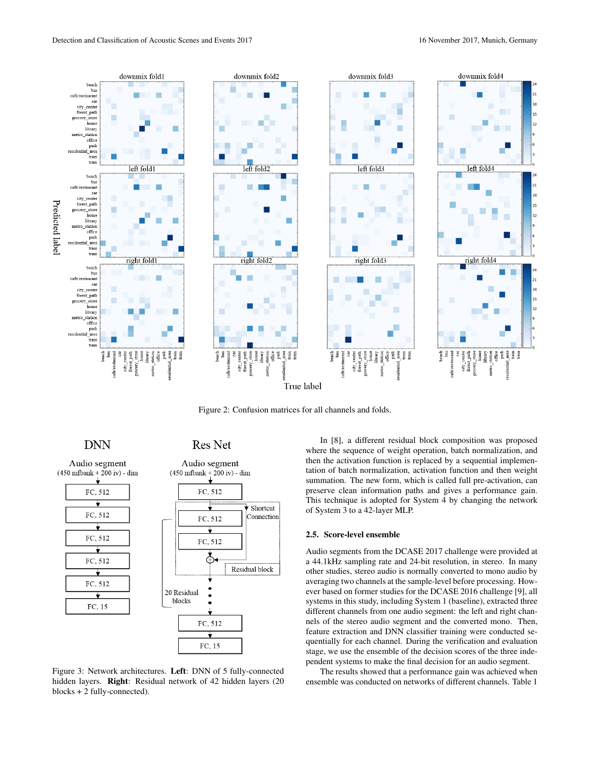

Figure 2: Confusion matrices for all channels and folds.

**DNN** 



**Res Net** 



Figure 3: Network architectures. Left: DNN of 5 fully-connected hidden layers. Right: Residual network of 42 hidden layers (20 blocks + 2 fully-connected).

In [8], a different residual block composition was proposed where the sequence of weight operation, batch normalization, and then the activation function is replaced by a sequential implementation of batch normalization, activation function and then weight summation. The new form, which is called full pre-activation, can preserve clean information paths and gives a performance gain. This technique is adopted for System 4 by changing the network of System 3 to a 42-layer MLP.

#### 2.5. Score-level ensemble

Audio segments from the DCASE 2017 challenge were provided at a 44.1kHz sampling rate and 24-bit resolution, in stereo. In many other studies, stereo audio is normally converted to mono audio by averaging two channels at the sample-level before processing. However based on former studies for the DCASE 2016 challenge [9], all systems in this study, including System 1 (baseline), extracted three different channels from one audio segment: the left and right channels of the stereo audio segment and the converted mono. Then, feature extraction and DNN classifier training were conducted sequentially for each channel. During the verification and evaluation stage, we use the ensemble of the decision scores of the three independent systems to make the final decision for an audio segment.

The results showed that a performance gain was achieved when ensemble was conducted on networks of different channels. Table 1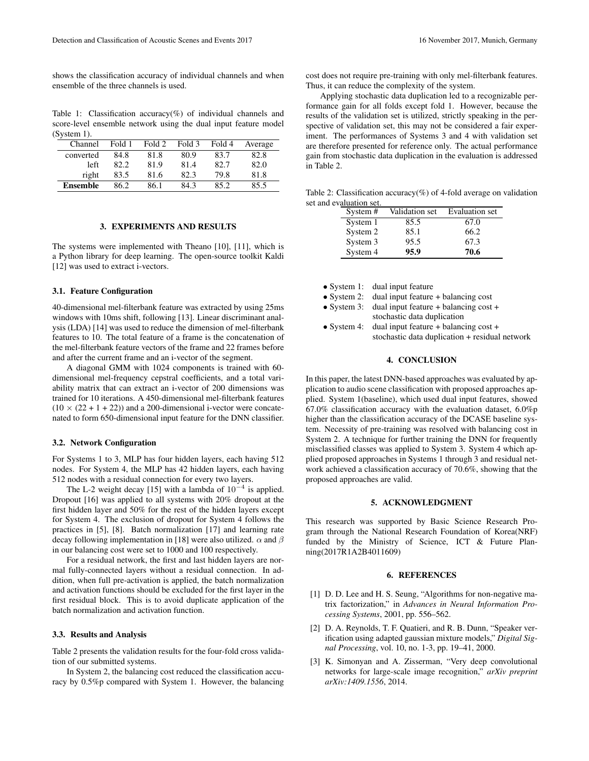shows the classification accuracy of individual channels and when ensemble of the three channels is used.

Table 1: Classification accuracy( $\%$ ) of individual channels and score-level ensemble network using the dual input feature model (System 1).

| Channel         | Fold 1 | Fold 2 | Fold 3 | Fold 4 | Average |
|-----------------|--------|--------|--------|--------|---------|
| converted       | 84.8   | 81.8   | 80.9   | 83.7   | 82.8    |
| left            | 82.2   | 81.9   | 81.4   | 82.7   | 82.0    |
| right           | 83.5   | 81.6   | 82.3   | 79.8   | 81.8    |
| <b>Ensemble</b> | 86.2   | 86.1   | 84.3   | 85.2   | 85.5    |

# 3. EXPERIMENTS AND RESULTS

The systems were implemented with Theano [10], [11], which is a Python library for deep learning. The open-source toolkit Kaldi [12] was used to extract i-vectors.

### 3.1. Feature Configuration

40-dimensional mel-filterbank feature was extracted by using 25ms windows with 10ms shift, following [13]. Linear discriminant analysis (LDA) [14] was used to reduce the dimension of mel-filterbank features to 10. The total feature of a frame is the concatenation of the mel-filterbank feature vectors of the frame and 22 frames before and after the current frame and an i-vector of the segment.

A diagonal GMM with 1024 components is trained with 60 dimensional mel-frequency cepstral coefficients, and a total variability matrix that can extract an i-vector of 200 dimensions was trained for 10 iterations. A 450-dimensional mel-filterbank features  $(10 \times (22 + 1 + 22))$  and a 200-dimensional i-vector were concatenated to form 650-dimensional input feature for the DNN classifier.

# 3.2. Network Configuration

For Systems 1 to 3, MLP has four hidden layers, each having 512 nodes. For System 4, the MLP has 42 hidden layers, each having 512 nodes with a residual connection for every two layers.

The L-2 weight decay [15] with a lambda of  $10^{-4}$  is applied. Dropout [16] was applied to all systems with 20% dropout at the first hidden layer and 50% for the rest of the hidden layers except for System 4. The exclusion of dropout for System 4 follows the practices in [5], [8]. Batch normalization [17] and learning rate decay following implementation in [18] were also utilized.  $\alpha$  and  $\beta$ in our balancing cost were set to 1000 and 100 respectively.

For a residual network, the first and last hidden layers are normal fully-connected layers without a residual connection. In addition, when full pre-activation is applied, the batch normalization and activation functions should be excluded for the first layer in the first residual block. This is to avoid duplicate application of the batch normalization and activation function.

### 3.3. Results and Analysis

Table 2 presents the validation results for the four-fold cross validation of our submitted systems.

In System 2, the balancing cost reduced the classification accuracy by 0.5%p compared with System 1. However, the balancing cost does not require pre-training with only mel-filterbank features. Thus, it can reduce the complexity of the system.

Applying stochastic data duplication led to a recognizable performance gain for all folds except fold 1. However, because the results of the validation set is utilized, strictly speaking in the perspective of validation set, this may not be considered a fair experiment. The performances of Systems 3 and 4 with validation set are therefore presented for reference only. The actual performance gain from stochastic data duplication in the evaluation is addressed in Table 2.

Table 2: Classification accuracy(%) of 4-fold average on validation set and evaluation set.

| System # | Validation set | Evaluation set |
|----------|----------------|----------------|
| System 1 | 85.5           | 67.0           |
| System 2 | 85.1           | 66.2           |
| System 3 | 95.5           | 67.3           |
| System 4 | 95.9           | 70.6           |

- System 1: dual input feature
- System 2: dual input feature + balancing cost
- System 3: dual input feature + balancing cost + stochastic data duplication
- System 4: dual input feature + balancing cost + stochastic data duplication + residual network

# 4. CONCLUSION

In this paper, the latest DNN-based approaches was evaluated by application to audio scene classification with proposed approaches applied. System 1(baseline), which used dual input features, showed 67.0% classification accuracy with the evaluation dataset, 6.0%p higher than the classification accuracy of the DCASE baseline system. Necessity of pre-training was resolved with balancing cost in System 2. A technique for further training the DNN for frequently misclassified classes was applied to System 3. System 4 which applied proposed approaches in Systems 1 through 3 and residual network achieved a classification accuracy of 70.6%, showing that the proposed approaches are valid.

# 5. ACKNOWLEDGMENT

This research was supported by Basic Science Research Program through the National Research Foundation of Korea(NRF) funded by the Ministry of Science, ICT & Future Planning(2017R1A2B4011609)

# 6. REFERENCES

- [1] D. D. Lee and H. S. Seung, "Algorithms for non-negative matrix factorization," in *Advances in Neural Information Processing Systems*, 2001, pp. 556–562.
- [2] D. A. Reynolds, T. F. Quatieri, and R. B. Dunn, "Speaker verification using adapted gaussian mixture models," *Digital Signal Processing*, vol. 10, no. 1-3, pp. 19–41, 2000.
- [3] K. Simonyan and A. Zisserman, "Very deep convolutional networks for large-scale image recognition," *arXiv preprint arXiv:1409.1556*, 2014.